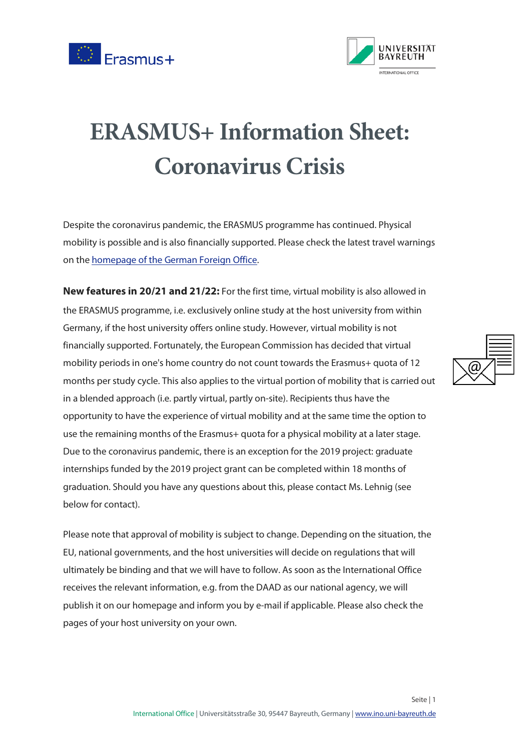



## **ERASMUS+ Information Sheet: Coronavirus Crisis**

Despite the coronavirus pandemic, the ERASMUS programme has continued. Physical mobility is possible and is also financially supported. Please check the latest travel warnings on the [homepage of the German Foreign Office.](https://www.auswaertiges-amt.de/de/ReiseUndSicherheit/covid-19/2296762)

**New features in 20/21 and 21/22:** For the first time, virtual mobility is also allowed in the ERASMUS programme, i.e. exclusively online study at the host university from within Germany, if the host university offers online study. However, virtual mobility is not financially supported. Fortunately, the European Commission has decided that virtual mobility periods in one's home country do not count towards the Erasmus+ quota of 12 months per study cycle. This also applies to the virtual portion of mobility that is carried out in a blended approach (i.e. partly virtual, partly on-site). Recipients thus have the opportunity to have the experience of virtual mobility and at the same time the option to use the remaining months of the Erasmus+ quota for a physical mobility at a later stage. Due to the coronavirus pandemic, there is an exception for the 2019 project: graduate internships funded by the 2019 project grant can be completed within 18 months of graduation. Should you have any questions about this, please contact Ms. Lehnig (see below for contact).

Please note that approval of mobility is subject to change. Depending on the situation, the EU, national governments, and the host universities will decide on regulations that will ultimately be binding and that we will have to follow. As soon as the International Office receives the relevant information, e.g. from the DAAD as our national agency, we will publish it on our homepage and inform you by e-mail if applicable. Please also check the pages of your host university on your own.